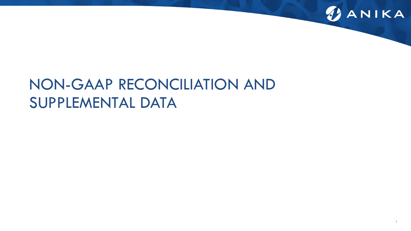

# NON-GAAP RECONCILIATION AND SUPPLEMENTAL DATA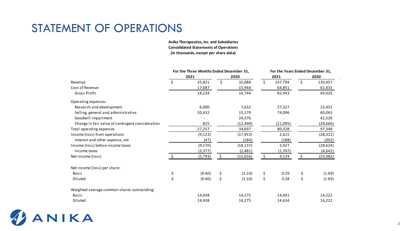# STATEMENT OF OPERATIONS

**(in thousands, except per share data) Consolidated Statements of Operations Anika Therapeutics, Inc. and Subsidiaries**

|                                                  | For the Three Months Ended December 31, |          |    |           |               |      | For the Years Ended December 31, |  |
|--------------------------------------------------|-----------------------------------------|----------|----|-----------|---------------|------|----------------------------------|--|
|                                                  |                                         | 2021     |    | 2020      | 2021          | 2020 |                                  |  |
| Revenue                                          | \$                                      | 35,821   | \$ | 32,688    | \$<br>147,794 | \$   | 130,457                          |  |
| Cost of Revenue                                  |                                         | 17,687   |    | 15,944    | 64,851        |      | 61,431                           |  |
| Gross Profit                                     |                                         | 18,134   |    | 16,744    | 82,943        |      | 69,026                           |  |
| Operating expenses:                              |                                         |          |    |           |               |      |                                  |  |
| Research and development                         |                                         | 6,000    |    | 7,632     | 27,327        |      | 23,431                           |  |
| Selling, general and administrative              |                                         | 20,432   |    | 15,179    | 74,096        |      | 60,063                           |  |
| Goodwill impairment                              |                                         |          |    | 24,376    |               |      | 42,520                           |  |
| Change in fair value of contingent consideration |                                         | 825      |    | (12, 490) | (21,095)      |      | (28, 666)                        |  |
| Total operating expenses                         |                                         | 27,257   |    | 34,697    | 80,328        |      | 97,348                           |  |
| Income (loss) from operations                    |                                         | (9, 123) |    | (17, 953) | 2,615         |      | (28, 322)                        |  |
| Interest and other expense, net                  |                                         | (47)     |    | (184)     | (188)         |      | (302)                            |  |
| Income (loss) before income taxes                |                                         | (9, 170) |    | (18, 137) | 2,427         |      | (28, 624)                        |  |
| Income taxes                                     |                                         | (3, 377) |    | (2,481)   | (1,707)       |      | (4,642)                          |  |
| Net income (loss)                                |                                         | (5, 793) | \$ | (15,656)  | \$<br>4,134   | \$   | (23, 982)                        |  |
| Net income (loss) per share:                     |                                         |          |    |           |               |      |                                  |  |
| <b>Basic</b>                                     | \$                                      | (0.40)   | \$ | (1.10)    | \$<br>0.29    | \$   | (1.69)                           |  |
| Diluted                                          | \$                                      | (0.40)   | \$ | (1.10)    | \$<br>0.28    | \$   | (1.69)                           |  |
| Weighted average common shares outstanding:      |                                         |          |    |           |               |      |                                  |  |
| Basic                                            |                                         | 14,438   |    | 14,275    | 14,401        |      | 14,222                           |  |
| Diluted                                          |                                         | 14,438   |    | 14,275    | 14,634        |      | 14,222                           |  |

ANIKA 45

 $\sim$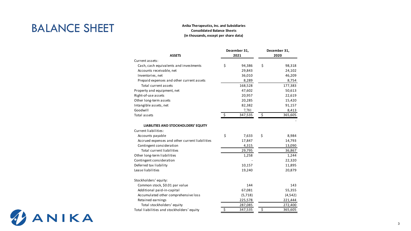# BALANCE SHEET

#### **Anika Therapeutics, Inc. and Subsidiaries Consolidated Balance Sheets (in thousands, except per share data)**

|                                                              | December 31,  | December 31, |          |  |
|--------------------------------------------------------------|---------------|--------------|----------|--|
| <b>ASSETS</b>                                                | 2021          |              | 2020     |  |
| Current assets:                                              |               |              |          |  |
| Cash, cash equivalents and investments                       | \$<br>94,386  | \$           | 98,318   |  |
| Accounts receivable, net                                     | 29,843        |              | 24,102   |  |
| Inventories, net                                             | 36,010        |              | 46,209   |  |
| Prepaid expenses and other current assets                    | 8,289         |              | 8,754    |  |
| Total current assets                                         | 168,528       |              | 177,383  |  |
| Property and equipment, net                                  | 47,602        |              | 50,613   |  |
| Right-of-use assets                                          | 20,957        |              | 22,619   |  |
| Other long-term assets                                       | 20,285        |              | 15,420   |  |
| Intangible assets, net                                       | 82,382        |              | 91,157   |  |
| Goodwill                                                     | 7,781         |              | 8,413    |  |
| Total assets                                                 | \$<br>347,535 | \$           | 365,605  |  |
| LIABILITIES AND STOCKHOLDERS' EQUITY<br>Current liabilities: |               |              |          |  |
| Accounts payable                                             | \$<br>7,633   | \$           | 8,984    |  |
| Accrued expenses and other current liabilities               | 17,847        |              | 14,793   |  |
| Contingent consideration                                     | 4,315         |              | 13,090   |  |
| <b>Total current liabilities</b>                             | 29,795        |              | 36,867   |  |
| Other long-term liabilities                                  | 1,258         |              | 1,244    |  |
| Contingent consideration                                     |               |              | 22,320   |  |
| Deferred tax liability                                       | 10,157        |              | 11,895   |  |
| Lease liabilities                                            | 19,240        |              | 20,879   |  |
| Stockholders' equity:                                        |               |              |          |  |
| Common stock, \$0.01 par value                               | 144           |              | 143      |  |
| Additional paid-in-capital                                   | 67,081        |              | 55,355   |  |
| Accumulated other comprehensive loss                         | (5,718)       |              | (4, 542) |  |
| Retained earnings                                            | 225,578       |              | 221,444  |  |
| Total stockholders' equity                                   | 287,085       |              | 272,400  |  |
| Total liabilities and stockholders' equity                   | \$<br>347,535 | \$           | 365,605  |  |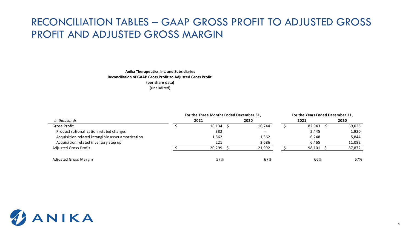### RECONCILIATION TABLES – GAAP GROSS PROFIT TO ADJUSTED GROSS PROFIT AND ADJUSTED GROSS MARGIN

#### **Anika Therapeutics, Inc. and Subsidiaries Reconciliation of GAAP Gross Profit to Adjusted Gross Profit (per share data)** (unaudited)

|                                                   | For the Three Months Ended December 31, | For the Years Ended December 31, |  |        |        |
|---------------------------------------------------|-----------------------------------------|----------------------------------|--|--------|--------|
| in thousands                                      | 2021                                    | 2020                             |  | 2021   | 2020   |
| Gross Profit                                      | 18,134                                  | 16.744                           |  | 82,943 | 69,026 |
| Product rationalization related charges           | 382                                     |                                  |  | 2,445  | 1,920  |
| Acquisition related intangible asset amortization | 1,562                                   | 1,562                            |  | 6,248  | 5,844  |
| Acquisition related inventory step up             | 221                                     | 3,686                            |  | 6,465  | 11,082 |
| Adjusted Gross Profit                             | 20.299                                  | 21,992                           |  | 98,101 | 87,872 |
| Adjusted Gross Margin                             | 57%                                     | 67%                              |  | 66%    | 67%    |

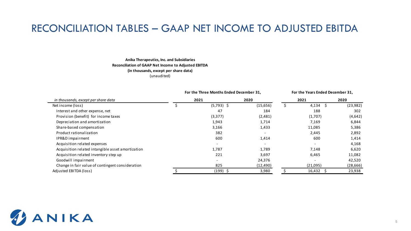### RECONCILIATION TABLES – GAAP NET INCOME TO ADJUSTED EBITDA

#### **Anika Therapeutics, Inc. and Subsidiaries Reconciliation of GAAP Net Income to Adjusted EBITDA (in thousands, except per share data)** (unaudited)

|                                                   |      | For the Three Months Ended December 31, | For the Years Ended December 31, |      |            |           |  |
|---------------------------------------------------|------|-----------------------------------------|----------------------------------|------|------------|-----------|--|
| in thousands, except per share data               | 2021 |                                         | 2020                             | 2021 |            | 2020      |  |
| Net income (loss)                                 |      | $(5,793)$ \$                            | (15,656)                         |      | $4,134$ \$ | (23, 982) |  |
| Interest and other expense, net                   |      | 47                                      | 184                              |      | 188        | 302       |  |
| Provision (benefit) for income taxes              |      | (3, 377)                                | (2,481)                          |      | (1,707)    | (4,642)   |  |
| Depreciation and amortization                     |      | 1,943                                   | 1,714                            |      | 7,169      | 6,844     |  |
| Share-based compensation                          |      | 3,166                                   | 1,433                            |      | 11,085     | 5,386     |  |
| Product rationalization                           |      | 382                                     | $\overline{\phantom{a}}$         |      | 2,445      | 2,892     |  |
| IPR&D impairment                                  |      | 600                                     | 1,414                            |      | 600        | 1,414     |  |
| Acquisition related expenses                      |      |                                         |                                  |      |            | 4,168     |  |
| Acquisition related intangible asset amortization |      | 1,787                                   | 1,789                            |      | 7,148      | 6,620     |  |
| Acquisition related inventory step up             |      | 221                                     | 3,697                            |      | 6,465      | 11,082    |  |
| Goodwill impairment                               |      | $\overline{\phantom{a}}$                | 24,376                           |      |            | 42,520    |  |
| Change in fair value of contingent consideration  |      | 825                                     | (12, 490)                        |      | (21,095)   | (28, 666) |  |
| Adjusted EBITDA (loss)                            |      | $(199)$ \$                              | 3,980                            |      | 16,432     | 23,938    |  |

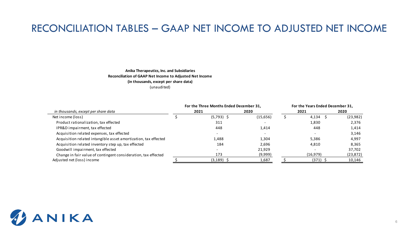### RECONCILIATION TABLES – GAAP NET INCOME TO ADJUSTED NET INCOME

#### **Anika Therapeutics, Inc. and Subsidiaries Reconciliation of GAAP Net Income to Adjusted Net Income (in thousands, except per share data)** (unaudited)

|                                                                 | For the Three Months Ended December 31, |          | For the Years Ended December 31, |            |           |  |  |
|-----------------------------------------------------------------|-----------------------------------------|----------|----------------------------------|------------|-----------|--|--|
| in thousands, except per share data                             | 2021                                    | 2020     |                                  | 2021       | 2020      |  |  |
| Net income (loss)                                               | $(5,793)$ \$                            | (15,656) |                                  | $4,134$ \$ | (23,982)  |  |  |
| Product rationalization, tax effected                           | 311                                     |          |                                  | 1,830      | 2,376     |  |  |
| IPR&D impairment, tax effected                                  | 448                                     | 1,414    |                                  | 448        | 1,414     |  |  |
| Acquisition related expenses, tax effected                      |                                         |          |                                  |            | 3,146     |  |  |
| Acquisition related intangible asset amortization, tax effected | 1,488                                   | 1,304    |                                  | 5,386      | 4,997     |  |  |
| Acquisition related inventory step up, tax effected             | 184                                     | 2,696    |                                  | 4,810      | 8,365     |  |  |
| Goodwill impairment, tax effected                               |                                         | 21,929   |                                  |            | 37,702    |  |  |
| Change in fair value of contingent consideration, tax effected  | 173                                     | (9,999)  |                                  | (16, 979)  | (23, 872) |  |  |
| Adjusted net (loss) income                                      | (3, 189)                                | 1,687    |                                  | $(371)$ \$ | 10,146    |  |  |

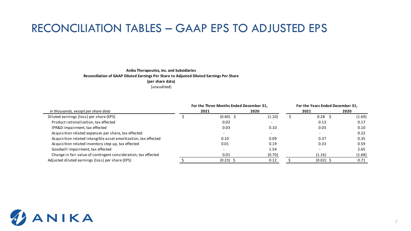# RECONCILIATION TABLES – GAAP EPS TO ADJUSTED EPS

#### **Anika Therapeutics, Inc. and Subsidiaries Reconciliation of GAAP Diluted Earnings Per Share to Adjusted Diluted Earnings Per Share (per share data)**

(unaudited)

|                                                                 | For the Three Months Ended December 31, | For the Years Ended December 31, |  |                   |        |
|-----------------------------------------------------------------|-----------------------------------------|----------------------------------|--|-------------------|--------|
| in thousands, except per share data                             | 2021                                    | 2020                             |  | 2021              | 2020   |
| Diluted earnings (loss) per share (EPS)                         | $(0.40)$ \$                             | (1.10)                           |  | 0.28 <sup>5</sup> | (1.69) |
| Product rationalization, tax effected                           | 0.02                                    |                                  |  | 0.13              | 0.17   |
| IPR&D impairment, tax effected                                  | 0.03                                    | 0.10                             |  | 0.03              | 0.10   |
| Acquisition related expenses per share, tax effected            |                                         |                                  |  |                   | 0.22   |
| Acquisition related intangible asset amortization, tax effected | 0.10                                    | 0.09                             |  | 0.37              | 0.35   |
| Acquisition related inventory step up, tax effected             | 0.01                                    | 0.19                             |  | 0.33              | 0.59   |
| Goodwill impairment, tax effected                               |                                         | 1.54                             |  |                   | 2.65   |
| Change in fair value of contingent consideration, tax effected  | 0.01                                    | (0.70)                           |  | (1.16)            | (1.68) |
| Adjusted diluted earnings (loss) per share (EPS)                | $(0.23)$ \$                             | 0.12                             |  | $(0.02)$ \$       | 0.71   |